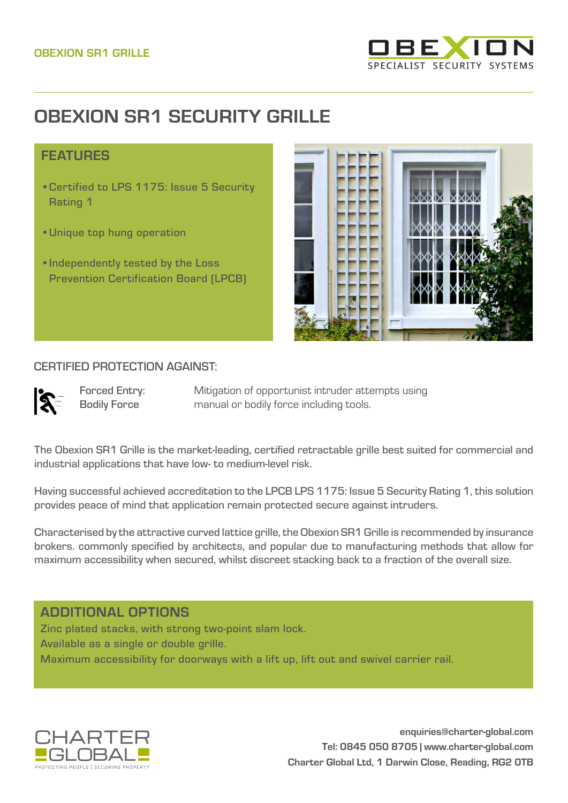

# **OBEXION SR1 SECURITY GRILLE**

### **FFATURES**

- •Certified to LPS 1175: Issue 5 Security Rating 1
- •Unique top hung operation
- •Independently tested by the Loss Prevention Certification Board (LPCB)



#### CERTIFIED PROTECTION AGAINST:

 $\mathbb{R}^-$ 

Forced Entry: Bodily Force

Mitigation of opportunist intruder attempts using manual or bodily force including tools.

The Obexion SR1 Grille is the market-leading, certified retractable grille best suited for commercial and industrial applications that have low- to medium-level risk.

Having successful achieved accreditation to the LPCB LPS 1175: Issue 5 Security Rating 1, this solution provides peace of mind that application remain protected secure against intruders.

Characterised by the attractive curved lattice grille, the Obexion SR1 Grille is recommended by insurance brokers. commonly specified by architects, and popular due to manufacturing methods that allow for maximum accessibility when secured, whilst discreet stacking back to a fraction of the overall size.

## ADDITIONAL OPTIONS

Zinc plated stacks, with strong two-point slam lock. Available as a single or double grille. Maximum accessibility for doorways with a lift up, lift out and swivel carrier rail.



**enquiries@charter-global.com Tel: 0845 050 8705 | www.charter-global.com Charter Global Ltd, 1 Darwin Close, Reading, RG2 0TB**